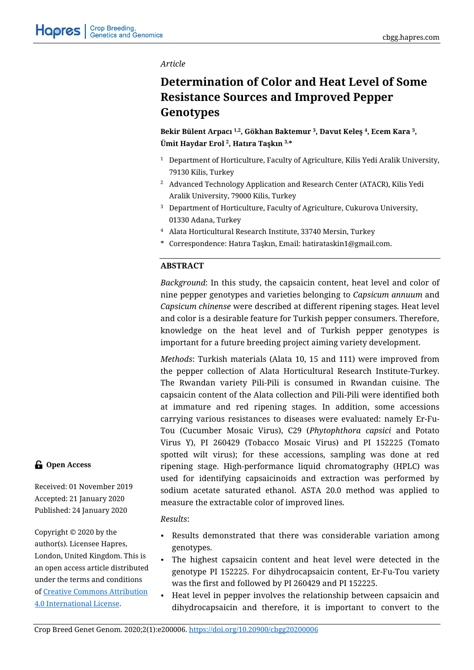# *Article*

# **Determination of Color and Heat Level of Some Resistance Sources and Improved Pepper Genotypes**

**Bekir Bülent Arpacı 1,2 , Gökhan Baktemur <sup>3</sup> , Davut Keleş <sup>4</sup> , Ecem Kara <sup>3</sup> , Ümit Haydar Erol <sup>2</sup> , Hatıra Taşkın 3,\***

- <sup>1</sup> Department of Horticulture, Faculty of Agriculture, Kilis Yedi Aralik University, 79130 Kilis, Turkey
- <sup>2</sup> Advanced Technology Application and Research Center (ATACR), Kilis Yedi Aralik University, 79000 Kilis, Turkey
- <sup>3</sup> Department of Horticulture, Faculty of Agriculture, Cukurova University, 01330 Adana, Turkey
- <sup>4</sup> Alata Horticultural Research Institute, 33740 Mersin, Turkey
- \* Correspondence: Hatıra Taşkın, Email: hatirataskin1@gmail.com.

# **ABSTRACT**

*Background*: In this study, the capsaicin content, heat level and color of nine pepper genotypes and varieties belonging to *Capsicum annuum* and *Capsicum chinense* were described at different ripening stages. Heat level and color is a desirable feature for Turkish pepper consumers. Therefore, knowledge on the heat level and of Turkish pepper genotypes is important for a future breeding project aiming variety development.

*Methods*: Turkish materials (Alata 10, 15 and 111) were improved from the pepper collection of Alata Horticultural Research Institute-Turkey. The Rwandan variety Pili-Pili is consumed in Rwandan cuisine. The capsaicin content of the Alata collection and Pili-Pili were identified both at immature and red ripening stages. In addition, some accessions carrying various resistances to diseases were evaluated: namely Er-Fu-Tou (Cucumber Mosaic Virus), C29 (*Phytophthora capsici* and Potato Virus Y), PI 260429 (Tobacco Mosaic Virus) and PI 152225 (Tomato spotted wilt virus); for these accessions, sampling was done at red ripening stage. High-performance liquid chromatography (HPLC) was used for identifying capsaicinoids and extraction was performed by sodium acetate saturated ethanol. ASTA 20.0 method was applied to measure the extractable color of improved lines.

# *Results*:

- Results demonstrated that there was considerable variation among genotypes.
- The highest capsaicin content and heat level were detected in the genotype PI 152225. For dihydrocapsaicin content, Er-Fu-Tou variety was the first and followed by PI 260429 and PI 152225.
- Heat level in pepper involves the relationship between capsaicin and dihydrocapsaicin and therefore, it is important to convert to the

# **Open Access**

Received: 01 November 2019 Accepted: 21 January 2020 Published: 24 January 2020

Copyright © 2020 by the author(s). Licensee Hapres, London, United Kingdom. This is an open access article distributed under the terms and conditions o[f Creative Commons Attribution](https://creativecommons.org/licenses/by/4.0/)  [4.0 International License.](https://creativecommons.org/licenses/by/4.0/)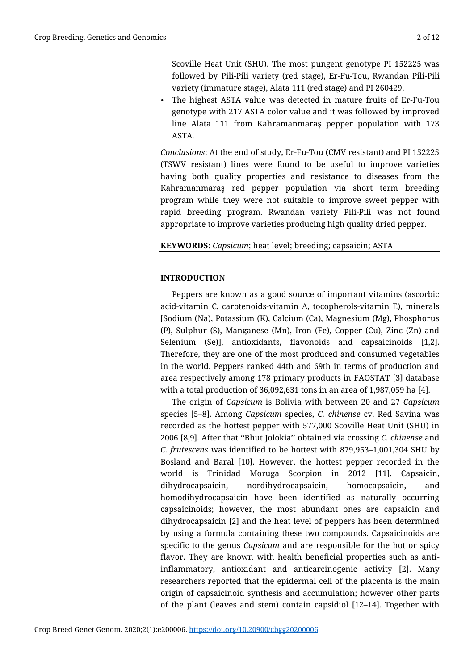Scoville Heat Unit (SHU). The most pungent genotype PI 152225 was followed by Pili-Pili variety (red stage), Er-Fu-Tou, Rwandan Pili-Pili variety (immature stage), Alata 111 (red stage) and PI 260429.

• The highest ASTA value was detected in mature fruits of Er-Fu-Tou genotype with 217 ASTA color value and it was followed by improved line Alata 111 from Kahramanmaraş pepper population with 173 ASTA.

*Conclusions*: At the end of study, Er-Fu-Tou (CMV resistant) and PI 152225 (TSWV resistant) lines were found to be useful to improve varieties having both quality properties and resistance to diseases from the Kahramanmaraş red pepper population via short term breeding program while they were not suitable to improve sweet pepper with rapid breeding program. Rwandan variety Pili-Pili was not found appropriate to improve varieties producing high quality dried pepper.

# **KEYWORDS:** *Capsicum*; heat level; breeding; capsaicin; ASTA

# **INTRODUCTION**

Peppers are known as a good source of important vitamins (ascorbic acid-vitamin C, carotenoids-vitamin A, tocopherols-vitamin E), minerals [Sodium (Na), Potassium (K), Calcium (Ca), Magnesium (Mg), Phosphorus (P), Sulphur (S), Manganese (Mn), Iron (Fe), Copper (Cu), Zinc (Zn) and Selenium (Se)], antioxidants, flavonoids and capsaicinoids [1,2]. Therefore, they are one of the most produced and consumed vegetables in the world. Peppers ranked 44th and 69th in terms of production and area respectively among 178 primary products in FAOSTAT [3] database with a total production of 36,092,631 tons in an area of 1,987,059 ha [4].

The origin of *Capsicum* is Bolivia with between 20 and 27 *Capsicum* species [5–8]. Among *Capsicum* species, *C. chinense* cv. Red Savina was recorded as the hottest pepper with 577,000 Scoville Heat Unit (SHU) in 2006 [8,9]. After that ''Bhut Jolokia'' obtained via crossing *C. chinense* and *C. frutescens* was identified to be hottest with 879,953–1,001,304 SHU by Bosland and Baral [10]. However, the hottest pepper recorded in the world is Trinidad Moruga Scorpion in 2012 [11]. Capsaicin, dihydrocapsaicin, nordihydrocapsaicin, homocapsaicin, and homodihydrocapsaicin have been identified as naturally occurring capsaicinoids; however, the most abundant ones are capsaicin and dihydrocapsaicin [2] and the heat level of peppers has been determined by using a formula containing these two compounds. Capsaicinoids are specific to the genus *Capsicum* and are responsible for the hot or spicy flavor. They are known with health beneficial properties such as antiinflammatory, antioxidant and anticarcinogenic activity [2]. Many researchers reported that the epidermal cell of the placenta is the main origin of capsaicinoid synthesis and accumulation; however other parts of the plant (leaves and stem) contain capsidiol [12–14]. Together with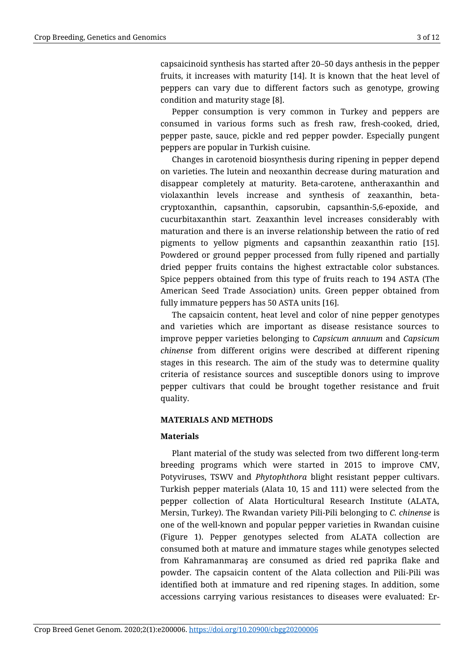capsaicinoid synthesis has started after 20–50 days anthesis in the pepper fruits, it increases with maturity [14]. It is known that the heat level of peppers can vary due to different factors such as genotype, growing condition and maturity stage [8].

Pepper consumption is very common in Turkey and peppers are consumed in various forms such as fresh raw, fresh-cooked, dried, pepper paste, sauce, pickle and red pepper powder. Especially pungent peppers are popular in Turkish cuisine.

Changes in carotenoid biosynthesis during ripening in pepper depend on varieties. The lutein and neoxanthin decrease during maturation and disappear completely at maturity. Beta-carotene, antheraxanthin and violaxanthin levels increase and synthesis of zeaxanthin, betacryptoxanthin, capsanthin, capsorubin, capsanthin-5,6-epoxide, and cucurbitaxanthin start. Zeaxanthin level increases considerably with maturation and there is an inverse relationship between the ratio of red pigments to yellow pigments and capsanthin zeaxanthin ratio [15]. Powdered or ground pepper processed from fully ripened and partially dried pepper fruits contains the highest extractable color substances. Spice peppers obtained from this type of fruits reach to 194 ASTA (The American Seed Trade Association) units. Green pepper obtained from fully immature peppers has 50 ASTA units [16].

The capsaicin content, heat level and color of nine pepper genotypes and varieties which are important as disease resistance sources to improve pepper varieties belonging to *Capsicum annuum* and *Capsicum chinense* from different origins were described at different ripening stages in this research. The aim of the study was to determine quality criteria of resistance sources and susceptible donors using to improve pepper cultivars that could be brought together resistance and fruit quality.

# **MATERIALS AND METHODS**

# **Materials**

Plant material of the study was selected from two different long-term breeding programs which were started in 2015 to improve CMV, Potyviruses, TSWV and *Phytophthora* blight resistant pepper cultivars. Turkish pepper materials (Alata 10, 15 and 111) were selected from the pepper collection of Alata Horticultural Research Institute (ALATA, Mersin, Turkey). The Rwandan variety Pili-Pili belonging to *C. chinense* is one of the well-known and popular pepper varieties in Rwandan cuisine (Figure 1). Pepper genotypes selected from ALATA collection are consumed both at mature and immature stages while genotypes selected from Kahramanmaraş are consumed as dried red paprika flake and powder. The capsaicin content of the Alata collection and Pili-Pili was identified both at immature and red ripening stages. In addition, some accessions carrying various resistances to diseases were evaluated: Er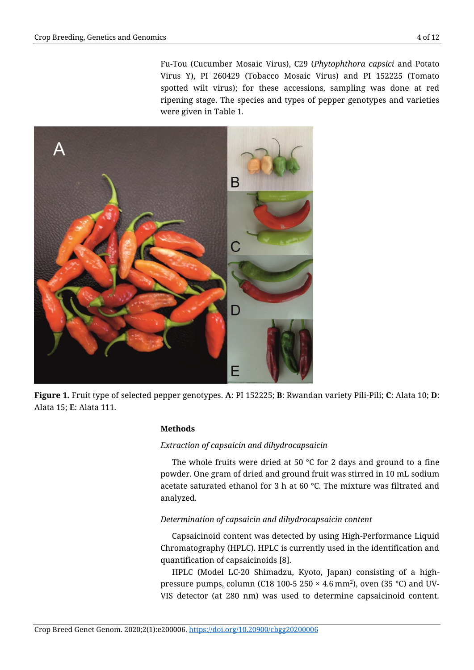Fu-Tou (Cucumber Mosaic Virus), C29 (*Phytophthora capsici* and Potato Virus Y), PI 260429 (Tobacco Mosaic Virus) and PI 152225 (Tomato spotted wilt virus); for these accessions, sampling was done at red ripening stage. The species and types of pepper genotypes and varieties were given in Table 1.



**Figure 1.** Fruit type of selected pepper genotypes. **A**: PI 152225; **B**: Rwandan variety Pili-Pili; **C**: Alata 10; **D**: Alata 15; **E**: Alata 111.

# **Methods**

# *Extraction of capsaicin and dihydrocapsaicin*

The whole fruits were dried at 50  $\degree$ C for 2 days and ground to a fine powder. One gram of dried and ground fruit was stirred in 10 mL sodium acetate saturated ethanol for 3 h at 60 °C. The mixture was filtrated and analyzed.

# *Determination of capsaicin and dihydrocapsaicin content*

Capsaicinoid content was detected by using High-Performance Liquid Chromatography (HPLC). HPLC is currently used in the identification and quantification of capsaicinoids [8].

HPLC (Model LC-20 Shimadzu, Kyoto, Japan) consisting of a highpressure pumps, column (C18 100-5 250 × 4.6 mm<sup>2</sup> ), oven (35 °C) and UV-VIS detector (at 280 nm) was used to determine capsaicinoid content.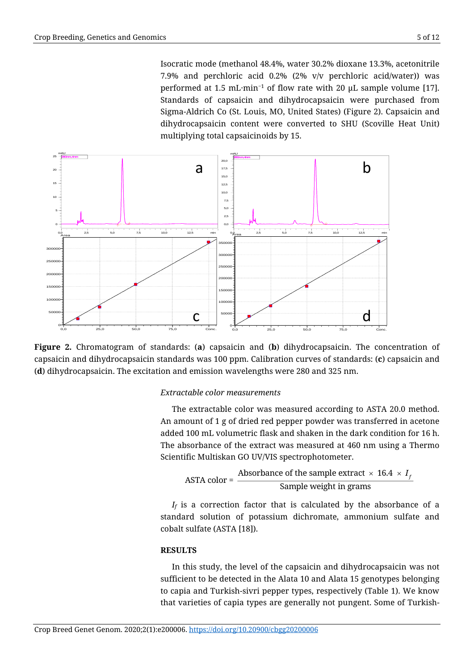Isocratic mode (methanol 48.4%, water 30.2% dioxane 13.3%, acetonitrile 7.9% and perchloric acid 0.2% (2% v/v perchloric acid/water)) was performed at 1.5 mL·min<sup>−</sup><sup>1</sup> of flow rate with 20 μL sample volume [17]. Standards of capsaicin and dihydrocapsaicin were purchased from Sigma-Aldrich Co (St. Louis, MO, United States) (Figure 2). Capsaicin and dihydrocapsaicin content were converted to SHU (Scoville Heat Unit) multiplying total capsaicinoids by 15.



**Figure 2.** Chromatogram of standards: (**a**) capsaicin and (**b**) dihydrocapsaicin. The concentration of capsaicin and dihydrocapsaicin standards was 100 ppm. Calibration curves of standards: (**c**) capsaicin and (**d**) dihydrocapsaicin. The excitation and emission wavelengths were 280 and 325 nm.

# *Extractable color measurements*

The extractable color was measured according to ASTA 20.0 method. An amount of 1 g of dried red pepper powder was transferred in acetone added 100 mL volumetric flask and shaken in the dark condition for 16 h. The absorbance of the extract was measured at 460 nm using a Thermo Scientific Multiskan GO UV/VIS spectrophotometer.

ASTA color = 
$$
\frac{\text{Absorbance of the sample extract} \times 16.4 \times I_f}{\text{Sample weight in grams}}
$$

 $I_f$  is a correction factor that is calculated by the absorbance of a standard solution of potassium dichromate, ammonium sulfate and cobalt sulfate (ASTA [18]).

#### **RESULTS**

In this study, the level of the capsaicin and dihydrocapsaicin was not sufficient to be detected in the Alata 10 and Alata 15 genotypes belonging to capia and Turkish-sivri pepper types, respectively (Table 1). We know that varieties of capia types are generally not pungent. Some of Turkish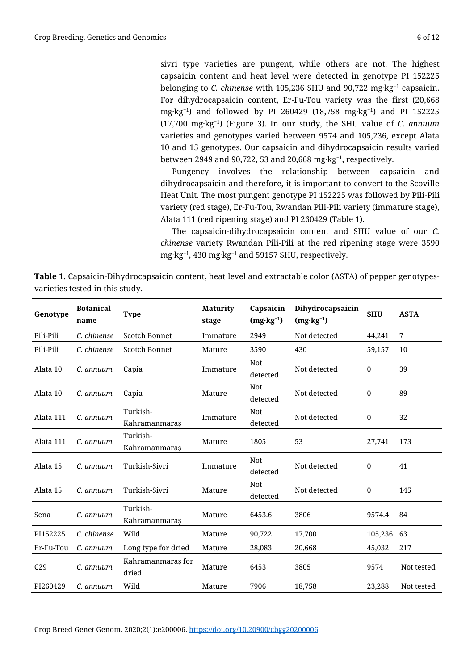sivri type varieties are pungent, while others are not. The highest capsaicin content and heat level were detected in genotype PI 152225 belonging to *C. chinense* with 105,236 SHU and 90,722 mg·kg<sup>−</sup><sup>1</sup> capsaicin. For dihydrocapsaicin content, Er-Fu-Tou variety was the first (20,668 mg·kg<sup>−</sup><sup>1</sup> ) and followed by PI 260429 (18,758 mg·kg<sup>−</sup><sup>1</sup> ) and PI 152225 (17,700 mg·kg<sup>−</sup><sup>1</sup> ) (Figure 3). In our study, the SHU value of *C. annuum* varieties and genotypes varied between 9574 and 105,236, except Alata 10 and 15 genotypes. Our capsaicin and dihydrocapsaicin results varied between 2949 and 90,722, 53 and 20,668 mg·kg<sup>−</sup><sup>1</sup> , respectively.

Pungency involves the relationship between capsaicin and dihydrocapsaicin and therefore, it is important to convert to the Scoville Heat Unit. The most pungent genotype PI 152225 was followed by Pili-Pili variety (red stage), Er-Fu-Tou, Rwandan Pili-Pili variety (immature stage), Alata 111 (red ripening stage) and PI 260429 (Table 1).

The capsaicin-dihydrocapsaicin content and SHU value of our *C. chinense* variety Rwandan Pili-Pili at the red ripening stage were 3590 mg·kg<sup>−</sup><sup>1</sup> , 430 mg·kg<sup>−</sup><sup>1</sup> and 59157 SHU, respectively.

| Table 1. Capsaicin-Dihydrocapsaicin content, heat level and extractable color (ASTA) of pepper genotypes- |  |  |
|-----------------------------------------------------------------------------------------------------------|--|--|
| varieties tested in this study.                                                                           |  |  |

| Genotype        | <b>Botanical</b><br>name | <b>Type</b>                | <b>Maturity</b><br>stage | Capsaicin<br>$(mg \cdot kg^{-1})$ | Dihydrocapsaicin<br>$(mg \cdot kg^{-1})$ | <b>SHU</b>   | <b>ASTA</b> |
|-----------------|--------------------------|----------------------------|--------------------------|-----------------------------------|------------------------------------------|--------------|-------------|
| Pili-Pili       | C. chinense              | Scotch Bonnet              | Immature                 | 2949                              | Not detected                             | 44,241       | 7           |
| Pili-Pili       | C. chinense              | Scotch Bonnet              | Mature                   | 3590                              | 430                                      | 59,157       | 10          |
| Alata 10        | C. annuum                | Capia                      | Immature                 | <b>Not</b><br>detected            | Not detected                             | $\bf{0}$     | 39          |
| Alata 10        | C. annuum                | Capia                      | Mature                   | Not<br>detected                   | Not detected                             | $\mathbf{0}$ | 89          |
| Alata 111       | C. annuum                | Turkish-<br>Kahramanmaraş  | Immature                 | Not<br>detected                   | Not detected                             | $\pmb{0}$    | 32          |
| Alata 111       | C. annuum                | Turkish-<br>Kahramanmaraş  | Mature                   | 1805                              | 53                                       | 27,741       | 173         |
| Alata 15        | C. annuum                | Turkish-Sivri              | Immature                 | <b>Not</b><br>detected            | Not detected                             | $\mathbf{0}$ | 41          |
| Alata 15        | C. annuum                | Turkish-Sivri              | Mature                   | <b>Not</b><br>detected            | Not detected                             | $\mathbf{0}$ | 145         |
| Sena            | C. annuum                | Turkish-<br>Kahramanmaraş  | Mature                   | 6453.6                            | 3806                                     | 9574.4       | 84          |
| PI152225        | C. chinense              | Wild                       | Mature                   | 90,722                            | 17,700                                   | 105,236      | 63          |
| Er-Fu-Tou       | C. annuum                | Long type for dried        | Mature                   | 28,083                            | 20,668                                   | 45,032       | 217         |
| C <sub>29</sub> | C. annuum                | Kahramanmaraş for<br>dried | Mature                   | 6453                              | 3805                                     | 9574         | Not tested  |
| PI260429        | C. annuum                | Wild                       | Mature                   | 7906                              | 18,758                                   | 23,288       | Not tested  |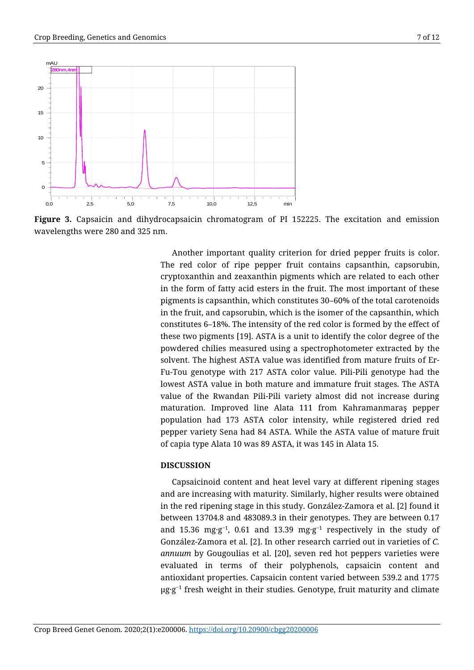Sample Name:numune\_



**Figure 3.** Capsaicin and dihydrocapsaicin chromatogram of PI 152225. The excitation and emission wavelengths were 280 and 325 nm.

Another important quality criterion for dried pepper fruits is color. The red color of ripe pepper fruit contains capsanthin, capsorubin, cryptoxanthin and zeaxanthin pigments which are related to each other in the form of fatty acid esters in the fruit. The most important of these pigments is capsanthin, which constitutes 30–60% of the total carotenoids in the fruit, and capsorubin, which is the isomer of the capsanthin, which constitutes 6–18%. The intensity of the red color is formed by the effect of these two pigments [19]. ASTA is a unit to identify the color degree of the powdered chilies measured using a spectrophotometer extracted by the solvent. The highest ASTA value was identified from mature fruits of Er-Fu-Tou genotype with 217 ASTA color value. Pili-Pili genotype had the lowest ASTA value in both mature and immature fruit stages. The ASTA value of the Rwandan Pili-Pili variety almost did not increase during maturation. Improved line Alata 111 from Kahramanmaraş pepper population had 173 ASTA color intensity, while registered dried red pepper variety Sena had 84 ASTA. While the ASTA value of mature fruit of capia type Alata 10 was 89 ASTA, it was 145 in Alata 15.

## **DISCUSSION**

Capsaicinoid content and heat level vary at different ripening stages and are increasing with maturity. Similarly, higher results were obtained in the red ripening stage in this study. González-Zamora et al. [2] found it between 13704.8 and 483089.3 in their genotypes. They are between 0.17 and 15.36 mg·g<sup>-1</sup>, 0.61 and 13.39 mg·g<sup>-1</sup> respectively in the study of González-Zamora et al. [2]. In other research carried out in varieties of *C. annuum* by Gougoulias et al. [20], seven red hot peppers varieties were evaluated in terms of their polyphenols, capsaicin content and antioxidant properties. Capsaicin content varied between 539.2 and 1775  $\mu$ g·g<sup>-1</sup> fresh weight in their studies. Genotype, fruit maturity and climate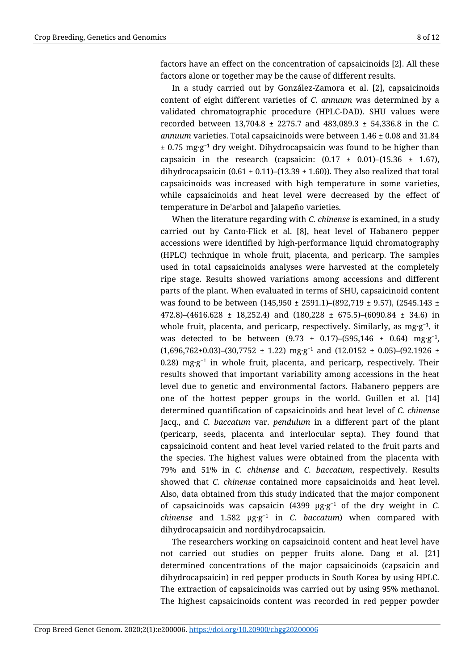factors have an effect on the concentration of capsaicinoids [2]. All these factors alone or together may be the cause of different results.

In a study carried out by González-Zamora et al. [2], capsaicinoids content of eight different varieties of *C. annuum* was determined by a validated chromatographic procedure (HPLC-DAD). SHU values were recorded between 13,704.8 ± 2275.7 and 483,089.3 ± 54,336.8 in the *C. annuum* varieties. Total capsaicinoids were between 1.46 ± 0.08 and 31.84  $± 0.75 \text{ mg·g}^{-1}$  dry weight. Dihydrocapsaicin was found to be higher than capsaicin in the research (capsaicin:  $(0.17 \pm 0.01)$ – $(15.36 \pm 1.67)$ ), dihydrocapsaicin (0.61  $\pm$  0.11)–(13.39  $\pm$  1.60)). They also realized that total capsaicinoids was increased with high temperature in some varieties, while capsaicinoids and heat level were decreased by the effect of temperature in De'arbol and Jalapeño varieties.

When the literature regarding with *C. chinense* is examined, in a study carried out by Canto-Flick et al. [8], heat level of Habanero pepper accessions were identified by high-performance liquid chromatography (HPLC) technique in whole fruit, placenta, and pericarp. The samples used in total capsaicinoids analyses were harvested at the completely ripe stage. Results showed variations among accessions and different parts of the plant. When evaluated in terms of SHU, capsaicinoid content was found to be between (145,950  $\pm$  2591.1)–(892,719  $\pm$  9.57), (2545.143  $\pm$ 472.8–(4616.628 ± 18,252.4) and (180,228 ± 675.5–(6090.84 ± 34.6) in whole fruit, placenta, and pericarp, respectively. Similarly, as  $mg-g^{-1}$ , it was detected to be between  $(9.73 \pm 0.17)$ – $(595,146 \pm 0.64)$  mg·g<sup>-1</sup>,  $(1,696,762\pm0.03)$ – $(30,7752 \pm 1.22)$  mg·g<sup>-1</sup> and  $(12.0152 \pm 0.05)$ – $(92.1926 \pm 1.22)$ 0.28) mg·g<sup>-1</sup> in whole fruit, placenta, and pericarp, respectively. Their results showed that important variability among accessions in the heat level due to genetic and environmental factors. Habanero peppers are one of the hottest pepper groups in the world. Guillen et al. [14] determined quantification of capsaicinoids and heat level of *C. chinense*  Jacq., and *C. baccatum* var. *pendulum* in a different part of the plant (pericarp, seeds, placenta and interlocular septa). They found that capsaicinoid content and heat level varied related to the fruit parts and the species. The highest values were obtained from the placenta with 79% and 51% in *C. chinense* and *C. baccatum*, respectively. Results showed that *C. chinense* contained more capsaicinoids and heat level. Also, data obtained from this study indicated that the major component of capsaicinoids was capsaicin  $(4399 \mu g \cdot g^{-1})$  of the dry weight in *C*. *chinense* and 1.582 µg·g −1 in *C. baccatum*) when compared with dihydrocapsaicin and nordihydrocapsaicin.

The researchers working on capsaicinoid content and heat level have not carried out studies on pepper fruits alone. Dang et al. [21] determined concentrations of the major capsaicinoids (capsaicin and dihydrocapsaicin) in red pepper products in South Korea by using HPLC. The extraction of capsaicinoids was carried out by using 95% methanol. The highest capsaicinoids content was recorded in red pepper powder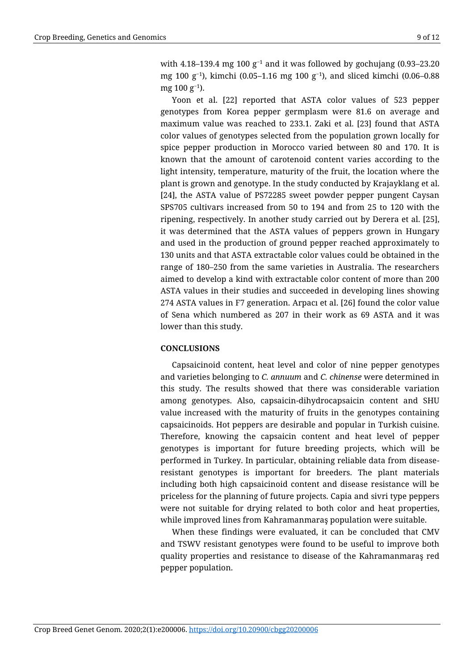with 4.18–139.4 mg 100 g<sup>-1</sup> and it was followed by gochujang (0.93–23.20 mg 100 g<sup>−</sup><sup>1</sup> ), kimchi (0.05–1.16 mg 100 g<sup>−</sup><sup>1</sup> ), and sliced kimchi (0.06–0.88 mg 100 g<sup>−</sup><sup>1</sup> ).

Yoon et al. [22] reported that ASTA color values of 523 pepper genotypes from Korea pepper germplasm were 81.6 on average and maximum value was reached to 233.1. Zaki et al. [23] found that ASTA color values of genotypes selected from the population grown locally for spice pepper production in Morocco varied between 80 and 170. It is known that the amount of carotenoid content varies according to the light intensity, temperature, maturity of the fruit, the location where the plant is grown and genotype. In the study conducted by Krajayklang et al. [24], the ASTA value of PS72285 sweet powder pepper pungent Caysan SPS705 cultivars increased from 50 to 194 and from 25 to 120 with the ripening, respectively. In another study carried out by Derera et al. [25], it was determined that the ASTA values of peppers grown in Hungary and used in the production of ground pepper reached approximately to 130 units and that ASTA extractable color values could be obtained in the range of 180–250 from the same varieties in Australia. The researchers aimed to develop a kind with extractable color content of more than 200 ASTA values in their studies and succeeded in developing lines showing 274 ASTA values in F7 generation. Arpacı et al. [26] found the color value of Sena which numbered as 207 in their work as 69 ASTA and it was lower than this study.

# **CONCLUSIONS**

Capsaicinoid content, heat level and color of nine pepper genotypes and varieties belonging to *C. annuum* and *C. chinense* were determined in this study. The results showed that there was considerable variation among genotypes. Also, capsaicin-dihydrocapsaicin content and SHU value increased with the maturity of fruits in the genotypes containing capsaicinoids. Hot peppers are desirable and popular in Turkish cuisine. Therefore, knowing the capsaicin content and heat level of pepper genotypes is important for future breeding projects, which will be performed in Turkey. In particular, obtaining reliable data from diseaseresistant genotypes is important for breeders. The plant materials including both high capsaicinoid content and disease resistance will be priceless for the planning of future projects. Capia and sivri type peppers were not suitable for drying related to both color and heat properties, while improved lines from Kahramanmaraş population were suitable.

When these findings were evaluated, it can be concluded that CMV and TSWV resistant genotypes were found to be useful to improve both quality properties and resistance to disease of the Kahramanmaraş red pepper population.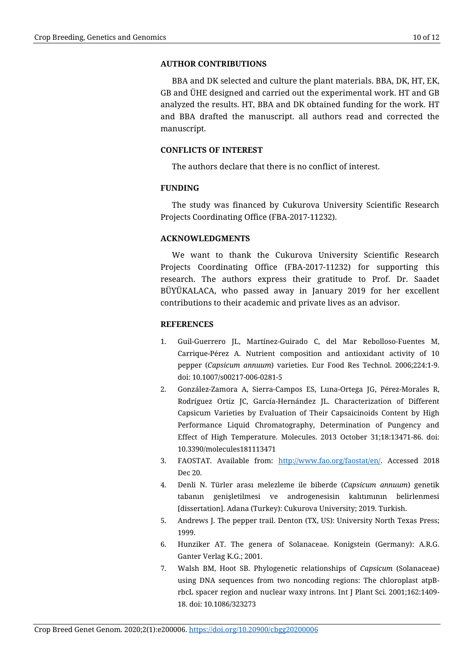### **AUTHOR CONTRIBUTIONS**

BBA and DK selected and culture the plant materials. BBA, DK, HT, EK, GB and ÜHE designed and carried out the experimental work. HT and GB analyzed the results. HT, BBA and DK obtained funding for the work. HT and BBA drafted the manuscript. all authors read and corrected the manuscript.

## **CONFLICTS OF INTEREST**

The authors declare that there is no conflict of interest.

## **FUNDING**

The study was financed by Cukurova University Scientific Research Projects Coordinating Office (FBA-2017-11232).

#### **ACKNOWLEDGMENTS**

We want to thank the Cukurova University Scientific Research Projects Coordinating Office (FBA-2017-11232) for supporting this research. The authors express their gratitude to Prof. Dr. Saadet BÜYÜKALACA, who passed away in January 2019 for her excellent contributions to their academic and private lives as an advisor.

#### **REFERENCES**

- 1. Guil-Guerrero JL, Martínez-Guirado C, del Mar Rebolloso-Fuentes M, Carrique-Pérez A. Nutrient composition and antioxidant activity of 10 pepper (*Capsicum annuum*) varieties. Eur Food Res Technol. 2006;224:1-9. doi: 10.1007/s00217-006-0281-5
- 2. González-Zamora A, Sierra-Campos ES, Luna-Ortega JG, Pérez-Morales R, Rodríguez Ortiz JC, García-Hernández JL. Characterization of Different Capsicum Varieties by Evaluation of Their Capsaicinoids Content by High Performance Liquid Chromatography, Determination of Pungency and Effect of High Temperature. Molecules. 2013 October 31;18:13471-86. doi: 10.3390/molecules181113471
- 3. FAOSTAT. Available from: [http://www.fao.org/faostat/en/.](http://www.fao.org/faostat/en/) Accessed 2018 Dec 20.
- 4. Denli N. Türler arası melezleme ile biberde (*Capsicum annuum*) genetik tabanın genişletilmesi ve androgenesisin kalıtımının belirlenmesi [dissertation]. Adana (Turkey): Cukurova University; 2019. Turkish.
- 5. Andrews J. The pepper trail. Denton (TX, US): University North Texas Press; 1999.
- 6. Hunziker AT. The genera of Solanaceae. Konigstein (Germany): A.R.G. Ganter Verlag K.G.; 2001.
- 7. Walsh BM, Hoot SB. Phylogenetic relationships of *Capsicum* (Solanaceae) using DNA sequences from two noncoding regions: The chloroplast atpBrbcL spacer region and nuclear waxy introns. Int J Plant Sci. 2001;162:1409- 18. doi: 10.1086/323273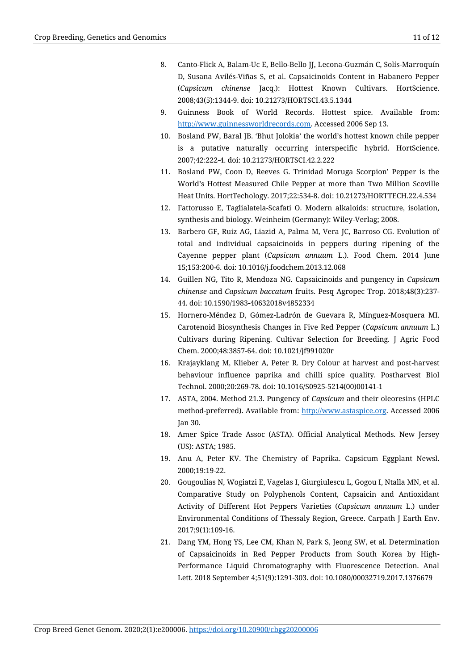- 8. Canto-Flick A, Balam-Uc E, Bello-Bello JJ, Lecona-Guzmán C, Solís-Marroquín D, Susana Avilés-Viñas S, et al. Capsaicinoids Content in Habanero Pepper (*Capsicum chinense* Jacq.): Hottest Known Cultivars. HortScience. 2008;43(5):1344-9. doi: 10.21273/HORTSCI.43.5.1344
- 9. Guinness Book of World Records. Hottest spice. Available from: [http://www.guinnessworldrecords.com.](http://www.guinnessworldrecords.com/) Accessed 2006 Sep 13.
- 10. Bosland PW, Baral JB. 'Bhut Jolokia' the world's hottest known chile pepper is a putative naturally occurring interspecific hybrid. HortScience. 2007;42:222-4. doi: 10.21273/HORTSCI.42.2.222
- 11. Bosland PW, Coon D, Reeves G. Trinidad Moruga Scorpion' Pepper is the World's Hottest Measured Chile Pepper at more than Two Million Scoville Heat Units. HortTechology. 2017;22:534-8. doi: 10.21273/HORTTECH.22.4.534
- 12. Fattorusso E, Taglialatela-Scafati O. Modern alkaloids: structure, isolation, synthesis and biology. Weinheim (Germany): Wiley-Verlag; 2008.
- 13. Barbero GF, Ruiz AG, Liazid A, Palma M, Vera JC, Barroso CG. Evolution of total and individual capsaicinoids in peppers during ripening of the Cayenne pepper plant (*Capsicum annuum* L.). Food Chem. 2014 June 15;153:200-6. doi: 10.1016/j.foodchem.2013.12.068
- 14. Guillen NG, Tito R, Mendoza NG. Capsaicinoids and pungency in *Capsicum chinense* and *Capsicum baccatum* fruits. Pesq Agropec Trop. 2018;48(3):237- 44. doi: 10.1590/1983-40632018v4852334
- 15. Hornero-Méndez D, Gómez-Ladrón de Guevara R, Mínguez-Mosquera MI. Carotenoid Biosynthesis Changes in Five Red Pepper (*Capsicum annuum* L.) Cultivars during Ripening. Cultivar Selection for Breeding. J Agric Food Chem. 2000;48:3857-64. doi: 10.1021/jf991020r
- 16. Krajayklang M, Klieber A, Peter R. Dry Colour at harvest and post-harvest behaviour influence paprika and chilli spice quality. Postharvest Biol Technol. 2000;20:269-78. doi: 10.1016/S0925-5214(00)00141-1
- 17. ASTA, 2004. Method 21.3. Pungency of *Capsicum* and their oleoresins (HPLC method-preferred). Available from: [http://www.astaspice.org.](http://www.astaspice.org/) Accessed 2006 Jan 30.
- 18. Amer Spice Trade Assoc (ASTA). Official Analytical Methods. New Jersey (US): ASTA; 1985.
- 19. Anu A, Peter KV. The Chemistry of Paprika. Capsicum Eggplant Newsl. 2000;19:19-22.
- 20. Gougoulias N, Wogiatzi E, Vagelas I, Giurgiulescu L, Gogou I, Ntalla MN, et al. Comparative Study on Polyphenols Content, Capsaicin and Antioxidant Activity of Different Hot Peppers Varieties (*Capsicum annuum* L.) under Environmental Conditions of Thessaly Region, Greece. Carpath J Earth Env. 2017;9(1):109-16.
- 21. Dang YM, Hong YS, Lee CM, Khan N, Park S, Jeong SW, et al. Determination of Capsaicinoids in Red Pepper Products from South Korea by High-Performance Liquid Chromatography with Fluorescence Detection. Anal Lett. 2018 September 4;51(9):1291-303. doi: 10.1080/00032719.2017.1376679